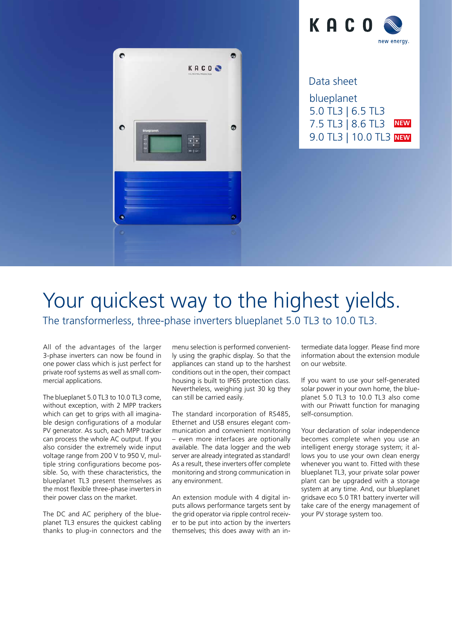

blueplanet 5.0 TL3 | 6.5 TL3 7.5 TL3 | 8.6 TL3 9.0 TL3 | 10.0 TL3 **NEW NEW** Data sheet

## Your quickest way to the highest yields. The transformerless, three-phase inverters blueplanet 5.0 TL3 to 10.0 TL3.

 $\bullet$ 

 $\bullet$ 

KACOO

All of the advantages of the larger

è

3-phase inverters can now be found in one power class which is just perfect for private roof systems as well as small commercial applications.

The blueplanet 5.0 TL3 to 10.0 TL3 come, without exception, with 2 MPP trackers which can get to grips with all imaginable design configurations of a modular PV generator. As such, each MPP tracker can process the whole AC output. If you also consider the extremely wide input voltage range from 200 V to 950 V, multiple string configurations become possible. So, with these characteristics, the blueplanet TL3 present themselves as the most flexible three-phase inverters in their power class on the market.

The DC and AC periphery of the blueplanet TL3 ensures the quickest cabling thanks to plug-in connectors and the menu selection is performed conveniently using the graphic display. So that the appliances can stand up to the harshest conditions out in the open, their compact housing is built to IP65 protection class. Nevertheless, weighing just 30 kg they can still be carried easily.

The standard incorporation of RS485, Ethernet and USB ensures elegant communication and convenient monitoring – even more interfaces are optionally available. The data logger and the web server are already integrated as standard! As a result, these inverters offer complete monitoring and strong communication in any environment.

An extension module with 4 digital inputs allows performance targets sent by the grid operator via ripple control receiver to be put into action by the inverters themselves; this does away with an intermediate data logger. Please find more information about the extension module on our website.

If you want to use your self-generated solar power in your own home, the blueplanet 5.0 TL3 to 10.0 TL3 also come with our Priwatt function for managing self-consumption.

Your declaration of solar independence becomes complete when you use an intelligent energy storage system; it allows you to use your own clean energy whenever you want to. Fitted with these blueplanet TL3, your private solar power plant can be upgraded with a storage system at any time. And, our blueplanet gridsave eco 5.0 TR1 battery inverter will take care of the energy management of your PV storage system too.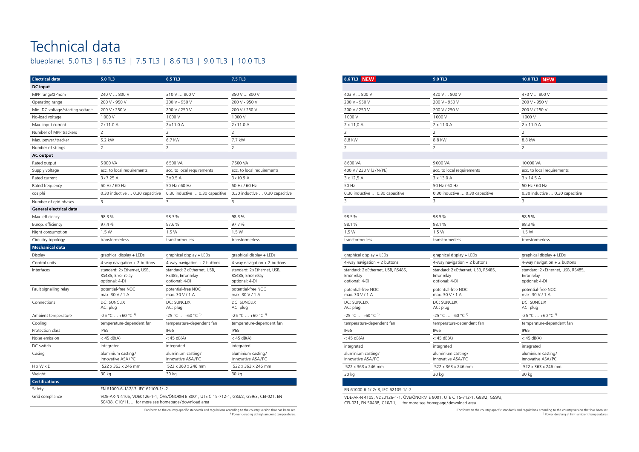# Technical data blueplanet 5.0 TL3 | 6.5 TL3 | 7.5 TL3 | 8.6 TL3 | 9.0 TL3 | 10.0 TL3

| <b>Electrical data</b>           | 5.0 TL3                                                              | 6.5 TL3                                                                                 | 7.5 TL3                                                              |
|----------------------------------|----------------------------------------------------------------------|-----------------------------------------------------------------------------------------|----------------------------------------------------------------------|
| <b>DC</b> input                  |                                                                      |                                                                                         |                                                                      |
| MPP range@Pnom                   | 240 V  800 V                                                         | 310 V  800 V                                                                            | 350 V  800 V                                                         |
| Operating range                  | 200 V - 950 V                                                        | 200 V - 950 V                                                                           | 200 V - 950 V                                                        |
| Min. DC voltage/starting voltage | 200 V / 250 V                                                        | 200 V / 250 V                                                                           | 200 V / 250 V                                                        |
| No-load voltage                  | 1000 V                                                               | 1000 V                                                                                  | 1000 V                                                               |
| Max. input current               | 2x11.0A                                                              | 2x11.0 A                                                                                | $2 \times 11.0$ A                                                    |
| Number of MPP trackers           | 2                                                                    | 2                                                                                       | 2                                                                    |
| Max. power/tracker               | 5.2 kW                                                               | 6.7 kW                                                                                  | 7.7 kW                                                               |
| Number of strings                | 2                                                                    | $\overline{2}$                                                                          | $\overline{2}$                                                       |
| <b>AC output</b>                 |                                                                      |                                                                                         |                                                                      |
| Rated output                     | 5000 VA                                                              | 6500 VA                                                                                 | 7500 VA                                                              |
| Supply voltage                   | acc. to local requirements                                           | acc. to local requirements                                                              | acc. to local requirements                                           |
| Rated current                    | 3x7.25 A                                                             | 3x9.5 A                                                                                 | 3x10.9 A                                                             |
| Rated frequency                  | 50 Hz / 60 Hz                                                        | 50 Hz / 60 Hz                                                                           | 50 Hz / 60 Hz                                                        |
| cos phi                          | 0.30 inductive  0.30 capacitive                                      | 0.30 inductive  0.30 capacitive                                                         | 0.30 inductive  0.30 capacitive                                      |
| Number of grid phases            | 3                                                                    | 3                                                                                       | 3                                                                    |
| <b>General electrical data</b>   |                                                                      |                                                                                         |                                                                      |
| Max. efficiency                  | 98.3%                                                                | 98.3%                                                                                   | 98.3%                                                                |
| Europ. efficiency                | 97.4%                                                                | 97.6%                                                                                   | 97.7%                                                                |
| Night consumption                | 1.5W                                                                 | 1.5W                                                                                    | 1.5W                                                                 |
| Circuitry topology               | transformerless                                                      | transformerless                                                                         | transformerless                                                      |
| <b>Mechanical data</b>           |                                                                      |                                                                                         |                                                                      |
| Display                          | graphical display + LEDs                                             | graphical display + LEDs                                                                | graphical display + LEDs                                             |
| Control units                    | 4-way navigation $+2$ buttons                                        | 4-way navigation $+2$ buttons                                                           | 4-way navigation + 2 buttons                                         |
| Interfaces                       | standard: 2 x Ethernet, USB,<br>RS485, Error relay<br>optional: 4-DI | standard: 2 x Ethernet, USB,<br>RS485, Error relay<br>optional: 4-DI                    | standard: 2 x Ethernet, USB,<br>RS485, Error relay<br>optional: 4-DI |
| Fault signalling relay           | potential-free NOC<br>max. 30 V / 1 A                                | potential-free NOC<br>max. 30 V / 1 A                                                   | potential-free NOC<br>max. 30 V / 1 A                                |
| Connections                      | <b>DC: SUNCLIX</b><br>AC: plug                                       | <b>DC: SUNCLIX</b><br>AC: plug                                                          | <b>DC: SUNCLIX</b><br>AC: plug                                       |
| Ambient temperature              | $-25 °C  +60 °C$ <sup>1)</sup>                                       | $-25 °C  +60 °C$ <sup>1)</sup>                                                          | $-25 °C  +60 °C$ <sup>1)</sup>                                       |
| Cooling                          | temperature-dependent fan                                            | temperature-dependent fan                                                               | temperature-dependent fan                                            |
| Protection class                 | <b>IP65</b>                                                          | <b>IP65</b>                                                                             | <b>IP65</b>                                                          |
| Noise emission                   | $<$ 45 dB(A)                                                         | $<$ 45 dB(A)                                                                            | $<$ 45 dB(A)                                                         |
| DC switch                        | integrated                                                           | integrated                                                                              | integrated                                                           |
| Casing                           | aluminium casting/<br>innovative ASA/PC                              | aluminium casting/<br>innovative ASA/PC                                                 | aluminium casting/<br>innovative ASA/PC                              |
| $H \times W \times D$            | 522 x 363 x 246 mm                                                   | 522 x 363 x 246 mm                                                                      | 522 x 363 x 246 mm                                                   |
| Weight                           | 30 kg                                                                | 30 kg                                                                                   | 30 kg                                                                |
| <b>Certifications</b>            |                                                                      |                                                                                         |                                                                      |
| Safety                           | EN 61000-6-1/-2/-3, IEC 62109-1/-2                                   |                                                                                         |                                                                      |
| Grid compliance                  | 50438, C10/11,  for more see homepage/download area                  | VDE-AR-N 4105, VDE0126-1-1, ÖVE/ÖNORM E 8001, UTE C 15-712-1, G83/2, G59/3, CEI-021, EN |                                                                      |

Conforms to the country-specific standards and regulations according to the country version that has been set. 1) Power derating at high ambient temperatures.

Conforms to the country-specific standards and regulations according to the country version that has been set. 1) Power derating at high ambient temperatures.

| 8.6 TL3 NEW                             | 9.0 TL3                                 | 10.0 TL3 NEW                            |
|-----------------------------------------|-----------------------------------------|-----------------------------------------|
|                                         |                                         |                                         |
| 403 V  800 V                            | 420 V  800 V                            | 470 V  800 V                            |
| 200 V - 950 V                           | 200 V - 950 V                           | 200 V - 950 V                           |
| 200 V / 250 V                           | 200 V / 250 V                           | 200 V / 250 V                           |
| 1000V                                   | 1000V                                   | 1000 V                                  |
| $2 \times 11,0$ A                       | 2 x 11.0 A                              | 2 x 11.0 A                              |
| 2                                       | $\overline{2}$                          | $\overline{2}$                          |
| 8,8 kW                                  | 8.8 kW                                  | 8.8 kW                                  |
| 2                                       | 2                                       | 2                                       |
|                                         |                                         |                                         |
| 8600 VA                                 | 9000 VA                                 | 10000 VA                                |
| 400 V / 230 V (3/N/PE)                  | acc. to local requirements              | acc. to local requirements              |
| 3 x 12,5 A                              | 3 x 13.0 A                              | 3 x 14.5 A                              |
| 50 Hz                                   | 50 Hz / 60 Hz                           | 50 Hz / 60 Hz                           |
| 0.30 inductive  0.30 capacitive         | 0.30 inductive  0.30 capacitive         | 0.30 inductive  0.30 capacitive         |
| 3                                       | 3                                       | 3                                       |
|                                         |                                         |                                         |
| 98.5%                                   | 98.5%                                   | 98.5%                                   |
| 98.1%                                   | 98.1%                                   | 98.3%                                   |
| 1,5 W                                   | 1.5W                                    | 1.5W                                    |
| transformerless                         | transformerless                         | transformerless                         |
|                                         |                                         |                                         |
|                                         | graphical display + LEDs                | graphical display + LEDs                |
| graphical display + LEDs                |                                         |                                         |
| 4-way navigation $+ 2$ buttons          | 4-way navigation $+ 2$ buttons          | 4-way navigation $+2$ buttons           |
| standard: 2 x Ethernet, USB, RS485,     | standard: 2 x Ethernet, USB, RS485,     | standard: 2 x Ethernet, USB, RS485,     |
| Error relay                             | Error relay                             | Error relay                             |
| optional: 4-DI                          | optional: 4-DI                          | optional: 4-DI                          |
| potential-free NOC                      | potential-free NOC                      | potential-free NOC                      |
| max. 30 V / 1 A<br><b>DC: SUNCLIX</b>   | max. 30 V / 1 A                         | max. 30 V / 1 A                         |
| AC: plug                                | DC: SUNCLIX<br>AC: plug                 | DC: SUNCLIX<br>AC: plug                 |
| $-25$ °C $ +60$ °C <sup>1)</sup>        | $-25$ °C $\ldots$ +60 °C <sup>1)</sup>  | -25 °C  +60 °C <sup>1)</sup>            |
| temperature-dependent fan               | temperature-dependent fan               | temperature-dependent fan               |
| IP65                                    | <b>IP65</b>                             | IP65                                    |
| $<$ 45 dB(A)                            | $<$ 45 dB(A)                            | $<$ 45 dB(A)                            |
| integrated                              | integrated                              | integrated                              |
| aluminium casting/<br>innovative ASA/PC | aluminium casting/<br>innovative ASA/PC | aluminium casting/<br>innovative ASA/PC |
| 522 x 363 x 246 mm                      | 522 x 363 x 246 mm                      | 522 x 363 x 246 mm                      |

VDE-AR-N 4105, VDE0126-1-1, ÖVE/ÖNORM E 8001, UTE C 15-712-1, G83/2, G59/3,

CEI-021, EN 50438, C10/11, ... for more see homepage / download area